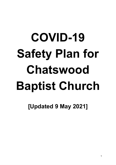# **COVID-19 Safety Plan for Chatswood Baptist Church**

**[Updated 9 May 2021]**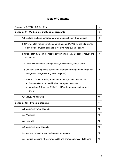# **Table of Contents**

| Purpose of COVID-19 Safety Plan                                                                                                                                                                                   |    |  |  |  |  |
|-------------------------------------------------------------------------------------------------------------------------------------------------------------------------------------------------------------------|----|--|--|--|--|
| Schedule #1. Wellbeing of Staff and Congregants                                                                                                                                                                   |    |  |  |  |  |
| 1.1 Exclude staff and congregants who are unwell from the premises                                                                                                                                                |    |  |  |  |  |
| 1.2 Provide staff with information and training on COVID-19, including when<br>to get tested, physical distancing, wearing masks, and cleaning                                                                    |    |  |  |  |  |
| 1.3 Make staff aware of their leave entitlements if they are sick or required to<br>self-isolate                                                                                                                  |    |  |  |  |  |
| 1.4 Display conditions of entry (website, social media, venue entry)                                                                                                                                              | 8  |  |  |  |  |
| 1.5 Consider offering online services or alternative arrangements for people<br>in high-risk categories (e.g. over 70 years)                                                                                      |    |  |  |  |  |
| 1.6 Ensure COVID-19 Safety Plans are in place, where relevant, for:<br>Community centres and halls (if hiring out premises)<br>Weddings & Funerals (COVID-19 Plan to be organised for each<br>$\bullet$<br>event) | 9  |  |  |  |  |
| 1.7 COVID-19 Marshall                                                                                                                                                                                             | 10 |  |  |  |  |
| <b>Schedule #2. Physical Distancing</b>                                                                                                                                                                           | 11 |  |  |  |  |
| 2.1 Maximum venue capacity                                                                                                                                                                                        |    |  |  |  |  |
| 2.2 Weddings                                                                                                                                                                                                      | 12 |  |  |  |  |
| 2.3 Funerals                                                                                                                                                                                                      | 12 |  |  |  |  |
| 2.4 Maximum room capacity                                                                                                                                                                                         | 12 |  |  |  |  |
| 2.5 Move or remove tables and seating as required                                                                                                                                                                 | 13 |  |  |  |  |
| 2.6 Reduce crowding wherever possible and promote physical distancing                                                                                                                                             | 13 |  |  |  |  |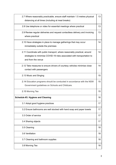| 2.7 Where reasonably practicable, ensure staff maintain 1.5 metres physical<br>distancing at all times (including at meal breaks)                                          |    |  |  |  |
|----------------------------------------------------------------------------------------------------------------------------------------------------------------------------|----|--|--|--|
| 2.8 Use telephone or video for essential meetings where practical                                                                                                          |    |  |  |  |
| 2.9 Review regular deliveries and request contactless delivery and invoicing<br>where practical                                                                            |    |  |  |  |
| 2.10 Have strategies in place to manage gatherings that may occur<br>immediately outside the premises                                                                      |    |  |  |  |
| 2.11 Coordinate with public transport, where reasonably practical, around<br>strategies to minimise COVID-19 risks associated with transportation to<br>and from the venue | 14 |  |  |  |
| 2.12 Take measures to ensure drivers of courtesy vehicles minimise close<br>contact with passengers                                                                        | 14 |  |  |  |
| 2.13 Music and Singing                                                                                                                                                     | 15 |  |  |  |
| 2.14 Education programs should be conducted in accordance with the NSW<br>Government guidelines on Schools and Childcare.                                                  |    |  |  |  |
| 2.15 Morning Tea                                                                                                                                                           | 15 |  |  |  |
| Schedule #3. Hygiene and Cleaning                                                                                                                                          | 16 |  |  |  |
| 3.1 Adopt good hygiene practices                                                                                                                                           | 17 |  |  |  |
| 3.2 Ensure bathrooms are well stocked with hand soap and paper towels                                                                                                      | 17 |  |  |  |
| 3.3 Order of service                                                                                                                                                       | 17 |  |  |  |
| 3.4 Sharing objects                                                                                                                                                        | 17 |  |  |  |
| 3.5 Cleaning                                                                                                                                                               | 18 |  |  |  |
| 3.6 Ventilation                                                                                                                                                            | 18 |  |  |  |
| 3.7 Cleaning and bathroom supplies                                                                                                                                         | 18 |  |  |  |
| 3.8 Morning Tea                                                                                                                                                            | 18 |  |  |  |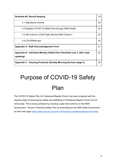| Schedule #4. Record Keeping                                                            | 19 |
|----------------------------------------------------------------------------------------|----|
| 4.1 Attendance records                                                                 | 20 |
| 4.2 Register COVID-19 Safety Plan through NSW Health                                   | 20 |
| 4.3 QR Code for COVID Safe Service NSW Check-in                                        | 20 |
| 4.4 COVIDSafe app                                                                      | 20 |
| Appendix A - Staff Acknowledgement Form                                                | 21 |
| Appendix B - Individual Ministry Safety Plan Checklists (Jan 3, 2021 need<br>updating) | 22 |
| Appendix C - Cleaning Protocols (Sunday Morning Services stage 2)                      | 45 |

# Purpose of COVID-19 Safety Plan

The COVID-19 Safety Plan for Chatswood Baptist Church has been prepared with the express intent of ensuring the safety and wellbeing of Chatswood Baptist Church and its community. This is being achieved by enacting a plan that conforms to the NSW Government - Places of Worship Safety Plan as prescribed by the NSW State Government on their web page <https://www.nsw.gov.au/covid-19/industry-guidelines/places-of-worship>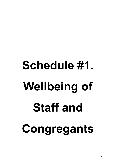# **Schedule #1. Wellbeing of Staff and Congregants**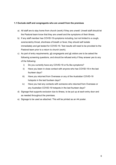# **1.1 Exclude staff and congregants who are unwell from the premises**

- a) All staff are to stay home from church (work) if they are unwell. Unwell staff should let the Pastoral team know that they are unwell and the symptoms of their illness.
- b) If any staff member has COVID-19 symptoms including, but not limited to a cough, sore/scratchy throat, shortness of breath or fever, they should self isolate immediately and get tested for COVID-19. Test results will need to be provided to the Pastoral team prior to a return to church (work).
- c) As part of entry requirements,  $all$  congregants and  $all$  visitors are to be asked the following screening questions, and should be refused entry if they answer yes to any of the following:
	- i) Do you currently have any COVID-19 or flu like symptoms?
	- ii) Have you been in close contact with anyone who has COVID-19 in the last fourteen days?
	- iii) Have you returned from Overseas or any of the Australian COVID-19 hotspots in the last fourteen days?
	- iv) Have you had any contacts with someone who returned from Overseas or any Australian COVID-19 hotspots in the last fourteen days?
- d) Signage that supports exclusion due to illness, to be put up at each entry door and as needed throughout the premises.
- e) Signage to be used as attached. This will be printed as an A4 poster.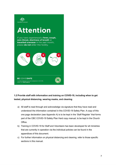

# **Attention** If you have experienced a fever, cough, sore throat, shortness of breath or travelled overseas in the past month, please do not enter this facility. **BE COVIDSAFE** For more information about Coronavirus (COVID-19),<br>please visit **health.gov.au**

# **1.2 Provide staff with information and training on COVID-19, including when to get tested, physical distancing, wearing masks, and cleaning**

- a) All staff to read through and acknowledge via signature that they have read and understood the information contained in this COVID-19 Safety Plan. A copy of this one page declaration (see Appendix A) is to be kept in the 'Staff Register' that forms part of the CBC COVID-19 Safety Plan Hard copy manual, to be kept in the Church Office.
- b) Training in COVID-19 for Staff and Volunteers has been developed for all ministries that are currently in operation via the individual policies can be found in the appendices of this document.
- c) For further information on physical distancing and cleaning, refer to those specific sections in this manual.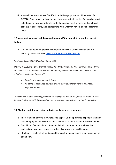d) Any staff member that has COVID-19 or flu like symptoms should be tested for COVID-19 and remain in isolation until they receive their results. If a negative result is forthcoming they may return to work. If a positive result is received they should continue to self isolate, and not return to work until they have a doctor's clearance letter.

# **1.3 Make staff aware of their leave entitlements if they are sick or required to self Isolate.**

a) CBC has adopted the provisions under the Fair Work Commission as per the following information from **[www.coronavirus.fairwork.gov.au](http://www.coronavirus.fairwork.gov.au/) :**

# *Published 8 April 2020 | Updated 12 May 2020*

*On 8 April 2020, the Fair Work Commission (the Commission) made [determinations](https://www.fwc.gov.au/awards-and-agreements/awards/award-modernisation/variation-applications/AM2020/12?type=variation) varying 99 awards. The determinations inserted a temporary new schedule into these awards. The schedule provides employees with:* 

- *● 2 weeks of unpaid pandemic leave*
- *● the ability to take twice as much annual leave at half their normal pay if their employer agrees.*

*The schedule in each award applies from an employee's first full pay period on or after 8 April 2020 until 30 June 2020. This end date can be extended by application to the Commission.* 

# **1.4 Display conditions of entry (website, social media, venue entry)**

- a) In order to gain entry to the Chatswood Baptist Church premises all people, whether staff, congregants, or visitors will need to adhere to the Safety Plan Policies of CBC.
- b) Conditions of entry include but are not limited to information on wellness, hand sanitisation, maximum capacity, physical distancing, and good hygiene.
- c) The four (4) posters that will be used form part of the conditions of entry and can be seen below.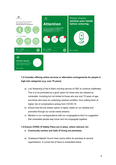

**BE COVIDSAFE** 

# **1.5 Consider offering online services or alternative arrangements for people in high-risk categories (e.g. over 70 years)**

- a) Live Streaming of the 9:30am morning service of CBC to continue indefinitely. This is to be promoted as a good option for those who are classed as vulnerable. Including but not limited to those who are over 70 years of age, and those who have an underlying medical condition, thus making them at higher risk of complications arising from COVID-19.
- b) Ensure that the live stream option is highly visible on our website and promoted through our social media streams.
- c) Mention in our correspondence with our congregations that it is suggested that vulnerable people stay home and not congregate together.

#### **1.6 Ensure COVID-19 Safety Plans are in place, where relevant, for:**

- **● Community centres and halls (if hiring out premises)**
- a) Chatswood Baptist Church hires rooms within its premises to several organisations. A current list of hirers is embedded below.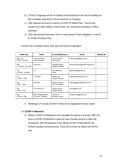- b) COVID-19 signage will be on display at the entrance to the church building as this is already required for Church services on Sundays.
- c) CBC requires all hirers to submit a COVID-19 Safety Plan Community Centres and Halls (edition), before they can commence activities on CBC's premises.
- d) CBC has ensured that every hirer is made aware of their obligation to submit a COVID-19 Safety Plan.

Current List of Outside Hirers, their days and hours of operation.

| <b>Week Day</b>            | <b>Room</b>                                      | <b>Contact/Business</b>                    | <b>Email</b>                     | <b>Mobile No</b> |
|----------------------------|--------------------------------------------------|--------------------------------------------|----------------------------------|------------------|
| Mon-Thu<br>3 PM - 6.30 PM  | Cry Room/Foyer<br>Hall - Mondays                 | Grace Lazzeri<br>Kids Circle               | kidscircleaus@gmail.com          |                  |
| Mon<br>11.30 AM - 12.30 PM | Cry Room                                         | Michele Wythes<br><b>Healthy Lifestyle</b> | Michele.Whytes@health.nsw.gov.au |                  |
| Tue<br>4.15 PM - 6.30 PM   | F <sub>1</sub>                                   | Tina Marsden<br>Flute                      | tgmarsden@gmail.com              |                  |
| Fri<br>10 AM- 11 AM        | Cry Room                                         | Alison Lee<br>Kanga Training               | ali@kangatraining.com.au         |                  |
| Sat<br>9 AM - 1 PM         | Side Hall                                        | Rebecca Kidner<br><b>Tiny Toes Ballet</b>  | rebecca@tinytoesballet.com.au    |                  |
| Sat<br>9 AM - 1 PM         | Cry Room & F1                                    | Wayne Chang<br>Jubilee Music               | ahxen@msn.com                    |                  |
| Sat<br>10 AM - 4 PM        | <b>Back Cottage Rooms</b><br>Cry room - Holidays | Joanne Li<br>Sydney Hutong                 | luckyjoannal@gmail.com           |                  |

● Weddings & Funerals (COVID-19 Plan to be organised for each event)

# **1.7 COVID-19 Marshall**

a) While a COVID-19 Marshall is not mandated for places of worship, CBC will have a COVID-19 Marshall in place for each Sunday service to help with compliance. Sidi [Wiriadisastra](https://chatswoodbaptist.elvanto.com.au/admin/people/person/?id=5583ff2c-6e79-11e5-9d36-06ba798128be) is the official COVID-19 Marshall for the 9:30am Sunday morning service. There will at times be others who fill this role.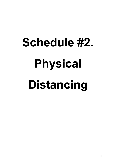# **Schedule #2. Physical Distancing**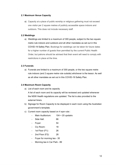# **2.1 Maximum Venue Capacity**

a) Capacity at a place of public worship or religious gathering must not exceed one visitor per 2 square metres of publicly accessible space indoors and outdoors. This does not include necessary staff.

# **2.2 Weddings**

a) Weddings are limited to a maximum of 300 people, subject to the two square metre rule indoors and outdoors and all other mandates as set out in this COVID-19 Safety Plan. Bookings for weddings can be taken for future dates for a higher number of guests than permitted by the current Public Health Order, but patrons should be advised that their event will need to comply with restrictions in place at the time.

# **2.3 Funerals**

a) Funerals are limited to a maximum of 300 people, or the two square metre rule indoors (and 2 square metre rule outside) whichever is the lessor. As well as all other mandates as set out in this COVID-19 Safety Plan.

# **2.4 Maximum Room Capacity**

a) List of each room and its capacity

A list of each room and its capacity will be reviewed and updated whenever the NSW Health regulations are updated. The list is also provided to the external hirers.

- b) Signage for Room Capacity to be displayed in each room using the Australian government's template.
- c) Current room capacity based on 4 sqm rule::
	- Main Auditorium: 104 + 20 upstairs
	- Side Hall: 66
	- Foyer: 54
	- Cry Room: 18
	- 1st Floor (F1): 26
	- 2nd Floor (F2): 28
	- Foyer for morning tea 35
	- Morning tea in Car Park 89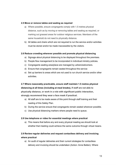### **2.5 Move or remove tables and seating as required**

- a) Where possible, ensure congregants comply with 1.5 metres physical distance, such as by moving or removing tables and seating as required, or marking out grassed areas for outdoor religious services. Members of the same household do not need to physically distance.
- b) All tables and chairs which are not required to run the service and/or activities must be stored and/or be made inaccessible by the visitors.

# **2.6 Reduce crowding wherever possible and promote physical distancing**

- a) Signage about physical distancing to be displayed throughout the premises.
- b) People flow management to be incorporated in individual ministry policies.
- c) Congregants seating area/place are managed by ushers/welcomers.
- d) Ensure that congregants remain seated throughout the service
- e) Set up barriers to areas which are not used to run church service and/or other activities.

# **2.7 Where reasonably practicable, ensure staff maintain 1.5 metres physical distancing at all times (including at meal breaks), If staff are not able to physically distance, or work in a role with significant public interaction, strongly recommend they wear a face mask if practical.**

- a) All staff are to be made aware of this point through staff training and their reading of this Safety Plan.
- b) During the service ensure that congregants remain seated wherever possible.
- c) Use physical distancing markers where people need to queue.

#### **2.8 Use telephone or video for essential meetings where practical**

a) This means that before any and every physical meeting we should look at whether that meeting could achieve the same outcome through virtual means.

# **2.9 Review regular deliveries and request contactless delivery and invoicing where practical**

a) An audit of regular deliveries and their current strategies for contactless delivery and invoicing should be undertaken (Action: Anne Batten). Where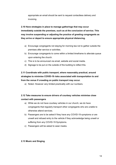appropriate an email should be sent to request contactless delivery and invoicing.

# **2.10 Have strategies in place to manage gatherings that may occur immediately outside the premises, such as at the conclusion of service. This may involve suspending or adjusting the practice of greeting congregants as they arrive or depart to ensure appropriate physical distancing.**

- a) Encourage congregants not staying for morning tea not to gather outside the premises after service or activities.
- b) Encourage congregants to come within a limited timeframe to alleviate queue upon entering the church.
- c) This is to be announced via email, website and social media.
- d) Signage to be put on the outside of the building to reflect this.

# **2.11 Coordinate with public transport, where reasonably practical, around strategies to minimise COVID-19 risks associated with transportation to and from the venue if crowding on public transport may occur.**

a) Noted. However very limited practicality with our numbers.

# **2.12 Take measures to ensure drivers of courtesy vehicles minimise close contact with passengers**

- a) While we do not have courtesy vehicles in our church, we do have congregants that regularly transport other congregants who are unable to otherwise attend services.
- b) Passengers are to be asked if they have any COVID-19 symptoms or are unwell and refused entry to the vehicle if they acknowledge being unwell or suffering from any COVID-19 Symptoms.
- c) Passengers will be asked to wear masks.

# **2.13 Music and Singing**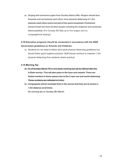a) Singing will commence again from Sunday March 28th. Singers should face forwards and not towards each other, have physical distancing of 1.5m between each other where not part of the same household. Performers should remain 5m from all other people including the audience and conductor, where practical. (For Sunday 9th May up to five singers and no congregational singing!)

# **2.14 Education programs should be conducted in accordance with the NSW Government guidelines on Schools and Childcare.**

a) Students do not need to follow strict adult physical distancing guidelines but should follow good hygiene practices. Staff should continue to maintain 1.5m physical distancing from students where practical.

# **2.15 Morning Tea**

- a) As of Sunday March 7th a very basic morning tea will be offered after the 9:30am service. This will take place in the foyer and carpark. There are limited numbers in these spaces due to the 2 sqm rule and social distancing. These numbers are reflected in 2.4(c).
- b) Congregants will be reminded from in the service that they are to ensure a 1.5m distance at all times.

No morning tea on Sunday 9th March!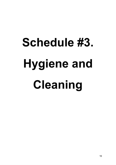# **Schedule #3. Hygiene and Cleaning**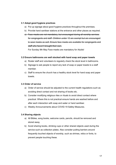#### **3.1 Adopt good hygiene practices**

- a) Put up signage about good hygiene practices throughout the premises.
- b) Provide hand sanitiser stations at the entrance and other places as required.
- c) Face masks are not mandatory, but encouraged during all worship services for congregants and staff. Children under 12 are exempt but are encouraged to wear masks as well. Ensure face masks are available for congregants and staff who haven't brought their own.

For Sunday 9th May Face masks are mandatory for Adults!

#### **3.2 Ensure bathrooms are well stocked with hand soap and paper towels**

- a) Roster staff and volunteers to regularly check the stock level in bathrooms.
- b) Signage to ask people to report any lack of soap or paper towels to a staff member.
- c) Staff to ensure the church has a healthy stock level for hand soap and paper towels.

#### **3.3 Order of service**

- a) Order of service should be adjusted to the current health regulations such as avoiding direct contact and not sharing of books etc.
- b) Consider modifying religious rites or rituals to avoid direct contact where practical. Where this is not practical ensure hands are washed before and after each interaction with soap and water or hand sanitiser.
- c) Weekly Announcements about COVID-19 Safety Measures.

#### **3.4 Sharing objects**

- a) All Bibles, song books, welcome cards, pencils, should be removed and stored away.
- b) Avoid sharing books, drinking cups or other shared objects used during the service such as collection plates. Also consider putting barriers around frequently touched objects of worship, such as shrines, relics or fonts, to prevent people touching these.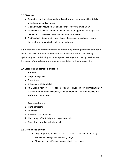### **3.5 Cleaning**

- a) Clean frequently used areas (including children's play areas) at least daily with detergent or disinfectant.
- b) Clean frequently touched areas and surfaces several times a day.
- c) Disinfectant solutions need to be maintained at an appropriate strength and used in accordance with the manufacturer's instructions.
- d) Staff and volunteers are to wear gloves when cleaning and wash hands thoroughly before and after with soap and water.

**3.6 In indoor areas, increase natural ventilation by opening windows and doors where possible, and increase mechanical ventilation where possible by optimising air conditioning or other system settings (such as by maximising the intake of outside air and reducing or avoiding recirculation of air).**

# **3.7 Cleaning and bathroom supplies**

#### **Kitchen:**

- a) Disposable gloves
- b) Paper towels
- c) Disinfectant spray bottles
- d) 15 L Disinfectant refill For general cleaning, dilute 1 cup of disinfectant in 10 L of water or for surface cleaning, dilute at a ratio of 1:10, then apply to the surface and wipe clean

### **Foyer cupboards:**

- a) Hand sanitisers
- b) Face masks
- c) Sanitiser refill for stations
- d) Hand soap refills, toilet paper, paper towel rolls
- e) Paper hand towels for disabled toilet

#### **3.8 Morning Tea Service**

- a) Only prepackaged biscuits are to be served. This is to be done by servers weaning gloves and using tongs.
- b) Those serving coffee and tea are also to use gloves.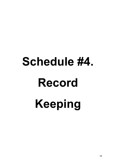# **Schedule #4. Record Keeping**